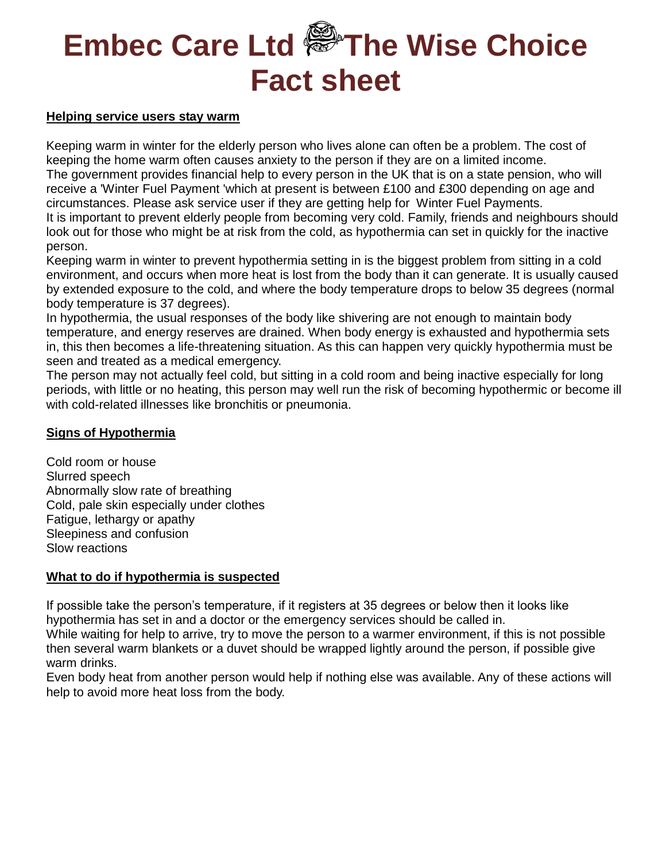#### **Helping service users stay warm**

Keeping warm in winter for the elderly person who lives alone can often be a problem. The cost of keeping the home warm often causes anxiety to the person if they are on a limited income. The government provides financial help to every person in the UK that is on a state pension, who will receive a 'Winter Fuel Payment 'which at present is between £100 and £300 depending on age and circumstances. Please ask service user if they are getting help for Winter Fuel Payments. It is important to prevent elderly people from becoming very cold. Family, friends and neighbours should look out for those who might be at risk from the cold, as hypothermia can set in quickly for the inactive person.

Keeping warm in winter to prevent hypothermia setting in is the biggest problem from sitting in a cold environment, and occurs when more heat is lost from the body than it can generate. It is usually caused by extended exposure to the cold, and where the body temperature drops to below 35 degrees (normal body temperature is 37 degrees).

In hypothermia, the usual responses of the body like shivering are not enough to maintain body temperature, and energy reserves are drained. When body energy is exhausted and hypothermia sets in, this then becomes a life-threatening situation. As this can happen very quickly hypothermia must be seen and treated as a medical emergency.

The person may not actually feel cold, but sitting in a cold room and being inactive especially for long periods, with little or no heating, this person may well run the risk of becoming hypothermic or become ill with cold-related illnesses like bronchitis or pneumonia.

## **Signs of Hypothermia**

Cold room or house Slurred speech Abnormally slow rate of breathing Cold, pale skin especially under clothes Fatigue, lethargy or apathy Sleepiness and confusion Slow reactions

## **What to do if hypothermia is suspected**

If possible take the person's temperature, if it registers at 35 degrees or below then it looks like hypothermia has set in and a doctor or the emergency services should be called in.

While waiting for help to arrive, try to move the person to a warmer environment, if this is not possible then several warm blankets or a duvet should be wrapped lightly around the person, if possible give warm drinks.

Even body heat from another person would help if nothing else was available. Any of these actions will help to avoid more heat loss from the body.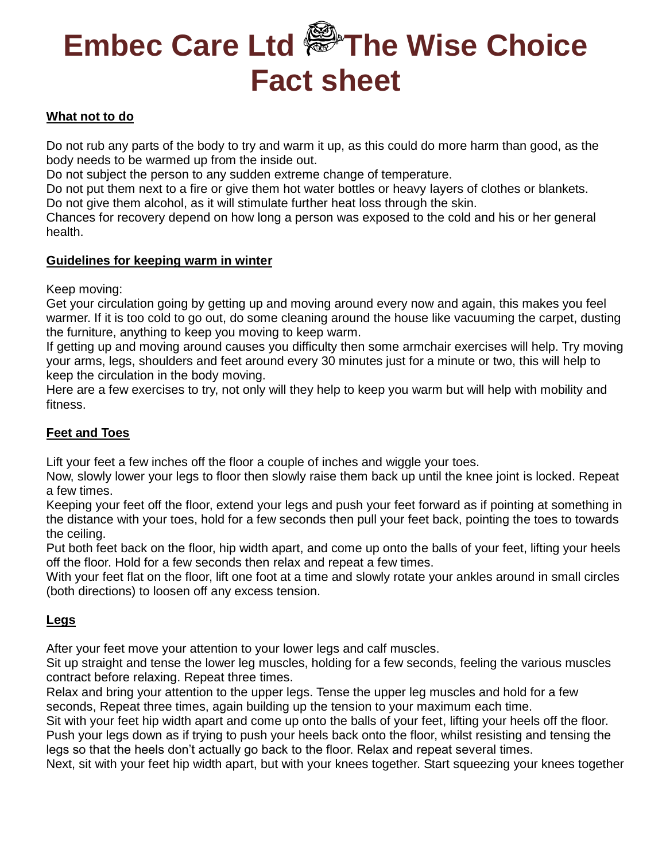## **What not to do**

Do not rub any parts of the body to try and warm it up, as this could do more harm than good, as the body needs to be warmed up from the inside out.

Do not subject the person to any sudden extreme change of temperature.

Do not put them next to a fire or give them hot water bottles or heavy layers of clothes or blankets. Do not give them alcohol, as it will stimulate further heat loss through the skin.

Chances for recovery depend on how long a person was exposed to the cold and his or her general health.

### **Guidelines for keeping warm in winter**

Keep moving:

Get your circulation going by getting up and moving around every now and again, this makes you feel warmer. If it is too cold to go out, do some cleaning around the house like vacuuming the carpet, dusting the furniture, anything to keep you moving to keep warm.

If getting up and moving around causes you difficulty then some armchair exercises will help. Try moving your arms, legs, shoulders and feet around every 30 minutes just for a minute or two, this will help to keep the circulation in the body moving.

Here are a few exercises to try, not only will they help to keep you warm but will help with mobility and fitness.

## **Feet and Toes**

Lift your feet a few inches off the floor a couple of inches and wiggle your toes.

Now, slowly lower your legs to floor then slowly raise them back up until the knee joint is locked. Repeat a few times.

Keeping your feet off the floor, extend your legs and push your feet forward as if pointing at something in the distance with your toes, hold for a few seconds then pull your feet back, pointing the toes to towards the ceiling.

Put both feet back on the floor, hip width apart, and come up onto the balls of your feet, lifting your heels off the floor. Hold for a few seconds then relax and repeat a few times.

With your feet flat on the floor, lift one foot at a time and slowly rotate your ankles around in small circles (both directions) to loosen off any excess tension.

## **Legs**

After your feet move your attention to your lower legs and calf muscles.

Sit up straight and tense the lower leg muscles, holding for a few seconds, feeling the various muscles contract before relaxing. Repeat three times.

Relax and bring your attention to the upper legs. Tense the upper leg muscles and hold for a few seconds, Repeat three times, again building up the tension to your maximum each time.

Sit with your feet hip width apart and come up onto the balls of your feet, lifting your heels off the floor. Push your legs down as if trying to push your heels back onto the floor, whilst resisting and tensing the legs so that the heels don't actually go back to the floor. Relax and repeat several times.

Next, sit with your feet hip width apart, but with your knees together. Start squeezing your knees together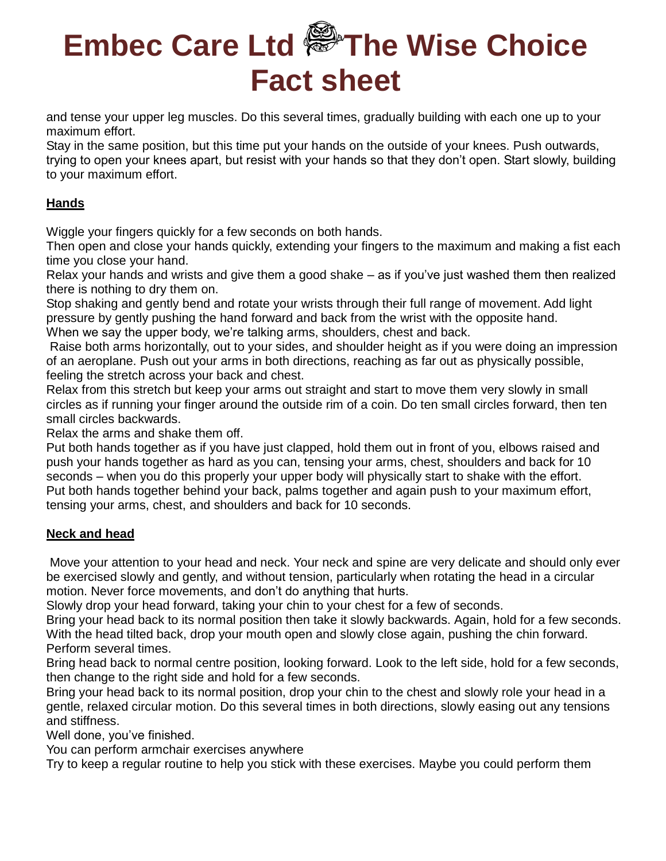and tense your upper leg muscles. Do this several times, gradually building with each one up to your maximum effort.

Stay in the same position, but this time put your hands on the outside of your knees. Push outwards, trying to open your knees apart, but resist with your hands so that they don't open. Start slowly, building to your maximum effort.

## **Hands**

Wiggle your fingers quickly for a few seconds on both hands.

Then open and close your hands quickly, extending your fingers to the maximum and making a fist each time you close your hand.

Relax your hands and wrists and give them a good shake – as if you've just washed them then realized there is nothing to dry them on.

Stop shaking and gently bend and rotate your wrists through their full range of movement. Add light pressure by gently pushing the hand forward and back from the wrist with the opposite hand. When we say the upper body, we're talking arms, shoulders, chest and back.

Raise both arms horizontally, out to your sides, and shoulder height as if you were doing an impression of an aeroplane. Push out your arms in both directions, reaching as far out as physically possible, feeling the stretch across your back and chest.

Relax from this stretch but keep your arms out straight and start to move them very slowly in small circles as if running your finger around the outside rim of a coin. Do ten small circles forward, then ten small circles backwards.

Relax the arms and shake them off.

Put both hands together as if you have just clapped, hold them out in front of you, elbows raised and push your hands together as hard as you can, tensing your arms, chest, shoulders and back for 10 seconds – when you do this properly your upper body will physically start to shake with the effort. Put both hands together behind your back, palms together and again push to your maximum effort, tensing your arms, chest, and shoulders and back for 10 seconds.

## **Neck and head**

Move your attention to your head and neck. Your neck and spine are very delicate and should only ever be exercised slowly and gently, and without tension, particularly when rotating the head in a circular motion. Never force movements, and don't do anything that hurts.

Slowly drop your head forward, taking your chin to your chest for a few of seconds.

Bring your head back to its normal position then take it slowly backwards. Again, hold for a few seconds. With the head tilted back, drop your mouth open and slowly close again, pushing the chin forward. Perform several times.

Bring head back to normal centre position, looking forward. Look to the left side, hold for a few seconds, then change to the right side and hold for a few seconds.

Bring your head back to its normal position, drop your chin to the chest and slowly role your head in a gentle, relaxed circular motion. Do this several times in both directions, slowly easing out any tensions and stiffness.

Well done, you've finished.

You can perform armchair exercises anywhere

Try to keep a regular routine to help you stick with these exercises. Maybe you could perform them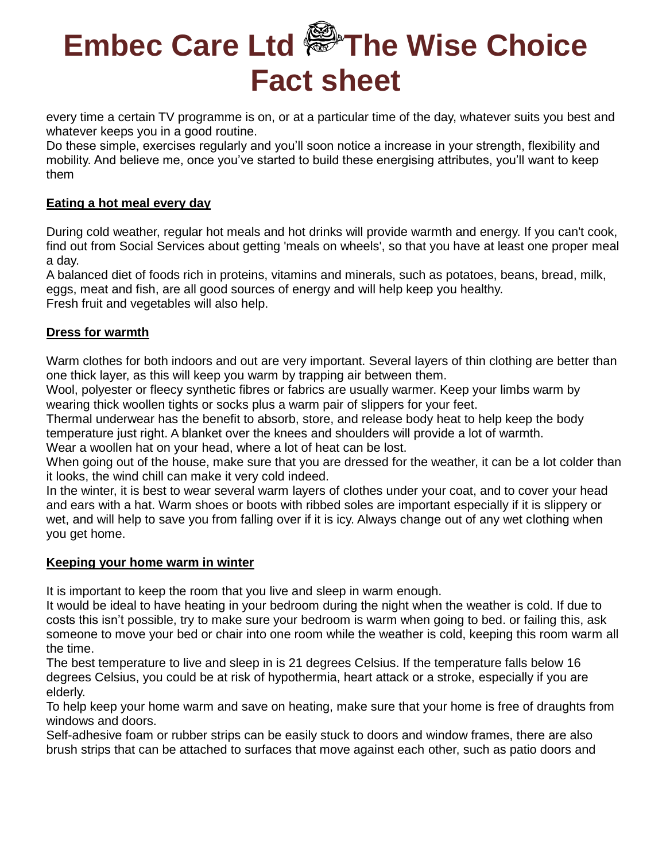every time a certain TV programme is on, or at a particular time of the day, whatever suits you best and whatever keeps you in a good routine.

Do these simple, exercises regularly and you'll soon notice a increase in your strength, flexibility and mobility. And believe me, once you've started to build these energising attributes, you'll want to keep them

## **Eating a hot meal every day**

During cold weather, regular hot meals and hot drinks will provide warmth and energy. If you can't cook, find out from Social Services about getting 'meals on wheels', so that you have at least one proper meal a day.

A balanced diet of foods rich in proteins, vitamins and minerals, such as potatoes, beans, bread, milk, eggs, meat and fish, are all good sources of energy and will help keep you healthy. Fresh fruit and vegetables will also help.

### **Dress for warmth**

Warm clothes for both indoors and out are very important. Several layers of thin clothing are better than one thick layer, as this will keep you warm by trapping air between them.

Wool, polyester or fleecy synthetic fibres or fabrics are usually warmer. Keep your limbs warm by wearing thick woollen tights or socks plus a warm pair of slippers for your feet.

Thermal underwear has the benefit to absorb, store, and release body heat to help keep the body temperature just right. A blanket over the knees and shoulders will provide a lot of warmth.

Wear a woollen hat on your head, where a lot of heat can be lost.

When going out of the house, make sure that you are dressed for the weather, it can be a lot colder than it looks, the wind chill can make it very cold indeed.

In the winter, it is best to wear several warm layers of clothes under your coat, and to cover your head and ears with a hat. Warm shoes or boots with ribbed soles are important especially if it is slippery or wet, and will help to save you from falling over if it is icy. Always change out of any wet clothing when you get home.

### **Keeping your home warm in winter**

It is important to keep the room that you live and sleep in warm enough.

It would be ideal to have heating in your bedroom during the night when the weather is cold. If due to costs this isn't possible, try to make sure your bedroom is warm when going to bed. or failing this, ask someone to move your bed or chair into one room while the weather is cold, keeping this room warm all the time.

The best temperature to live and sleep in is 21 degrees Celsius. If the temperature falls below 16 degrees Celsius, you could be at risk of hypothermia, heart attack or a stroke, especially if you are elderly.

To help keep your home warm and save on heating, make sure that your home is free of draughts from windows and doors.

Self-adhesive foam or rubber strips can be easily stuck to doors and window frames, there are also brush strips that can be attached to surfaces that move against each other, such as patio doors and